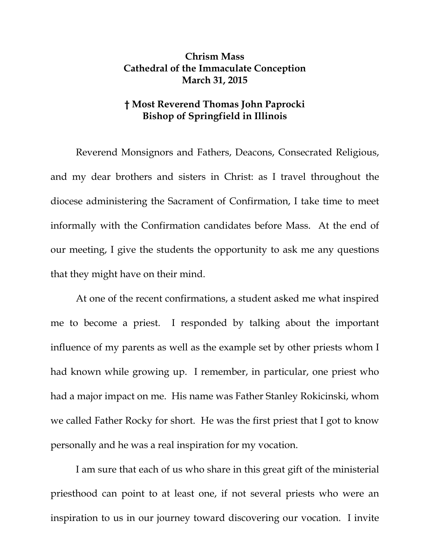## **Chrism Mass Cathedral of the Immaculate Conception March 31, 2015**

## **† Most Reverend Thomas John Paprocki Bishop of Springfield in Illinois**

Reverend Monsignors and Fathers, Deacons, Consecrated Religious, and my dear brothers and sisters in Christ: as I travel throughout the diocese administering the Sacrament of Confirmation, I take time to meet informally with the Confirmation candidates before Mass. At the end of our meeting, I give the students the opportunity to ask me any questions that they might have on their mind.

At one of the recent confirmations, a student asked me what inspired me to become a priest. I responded by talking about the important influence of my parents as well as the example set by other priests whom I had known while growing up. I remember, in particular, one priest who had a major impact on me. His name was Father Stanley Rokicinski, whom we called Father Rocky for short. He was the first priest that I got to know personally and he was a real inspiration for my vocation.

I am sure that each of us who share in this great gift of the ministerial priesthood can point to at least one, if not several priests who were an inspiration to us in our journey toward discovering our vocation. I invite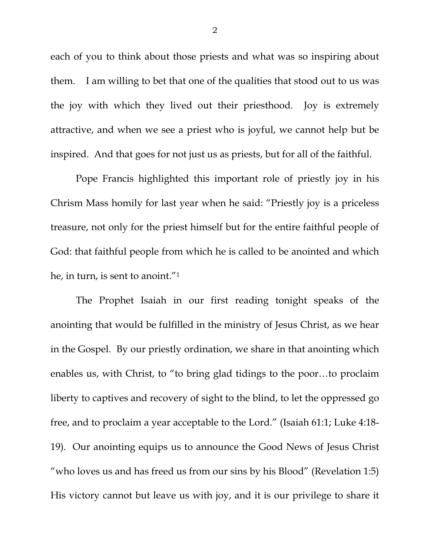each of you to think about those priests and what was so inspiring about them. I am willing to bet that one of the qualities that stood out to us was the joy with which they lived out their priesthood. Joy is extremely attractive, and when we see a priest who is joyful, we cannot help but be inspired. And that goes for not just us as priests, but for all of the faithful.

Pope Francis highlighted this important role of priestly joy in his Chrism Mass homily for last year when he said: "Priestly joy is a priceless treasure, not only for the priest himself but for the entire faithful people of God: that faithful people from which he is called to be anointed and which he, in turn, is sent to anoint."1

The Prophet Isaiah in our first reading tonight speaks of the anointing that would be fulfilled in the ministry of Jesus Christ, as we hear in the Gospel. By our priestly ordination, we share in that anointing which enables us, with Christ, to "to bring glad tidings to the poor…to proclaim liberty to captives and recovery of sight to the blind, to let the oppressed go free, and to proclaim a year acceptable to the Lord." (Isaiah 61:1; Luke 4:18- 19). Our anointing equips us to announce the Good News of Jesus Christ "who loves us and has freed us from our sins by his Blood" (Revelation 1:5) His victory cannot but leave us with joy, and it is our privilege to share it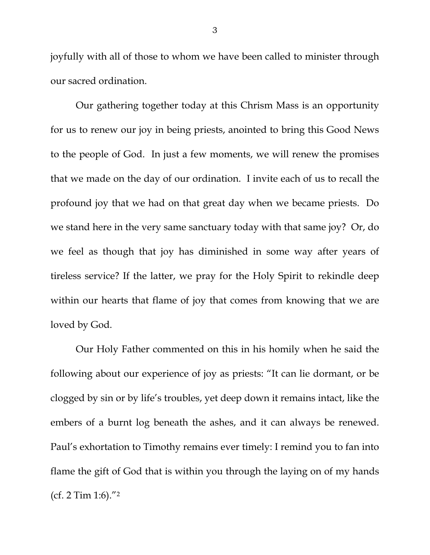joyfully with all of those to whom we have been called to minister through our sacred ordination.

Our gathering together today at this Chrism Mass is an opportunity for us to renew our joy in being priests, anointed to bring this Good News to the people of God. In just a few moments, we will renew the promises that we made on the day of our ordination. I invite each of us to recall the profound joy that we had on that great day when we became priests. Do we stand here in the very same sanctuary today with that same joy? Or, do we feel as though that joy has diminished in some way after years of tireless service? If the latter, we pray for the Holy Spirit to rekindle deep within our hearts that flame of joy that comes from knowing that we are loved by God.

Our Holy Father commented on this in his homily when he said the following about our experience of joy as priests: "It can lie dormant, or be clogged by sin or by life's troubles, yet deep down it remains intact, like the embers of a burnt log beneath the ashes, and it can always be renewed. Paul's exhortation to Timothy remains ever timely: I remind you to fan into flame the gift of God that is within you through the laying on of my hands (cf. 2 Tim 1:6)."2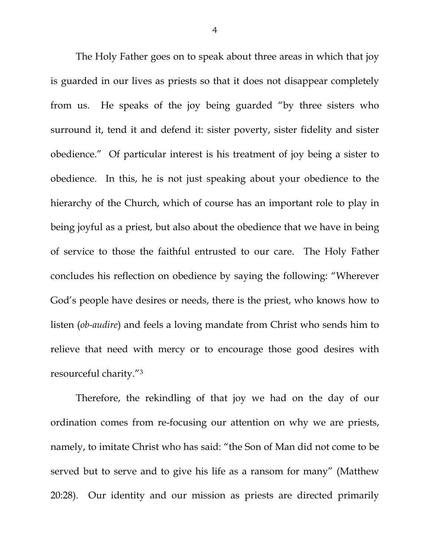The Holy Father goes on to speak about three areas in which that joy is guarded in our lives as priests so that it does not disappear completely from us. He speaks of the joy being guarded "by three sisters who surround it, tend it and defend it: sister poverty, sister fidelity and sister obedience." Of particular interest is his treatment of joy being a sister to obedience. In this, he is not just speaking about your obedience to the hierarchy of the Church, which of course has an important role to play in being joyful as a priest, but also about the obedience that we have in being of service to those the faithful entrusted to our care. The Holy Father concludes his reflection on obedience by saying the following: "Wherever God's people have desires or needs, there is the priest, who knows how to listen (*ob-audire*) and feels a loving mandate from Christ who sends him to relieve that need with mercy or to encourage those good desires with resourceful charity."3

Therefore, the rekindling of that joy we had on the day of our ordination comes from re-focusing our attention on why we are priests, namely, to imitate Christ who has said: "the Son of Man did not come to be served but to serve and to give his life as a ransom for many" (Matthew 20:28). Our identity and our mission as priests are directed primarily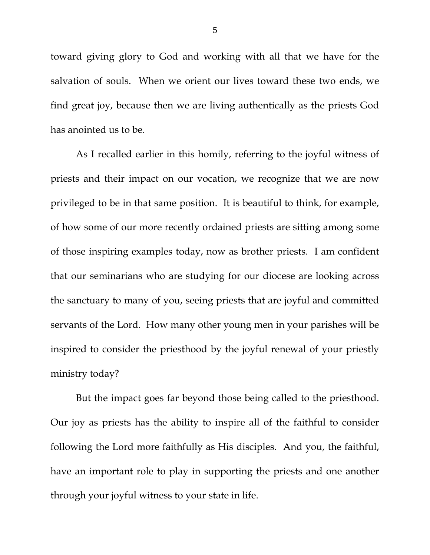toward giving glory to God and working with all that we have for the salvation of souls. When we orient our lives toward these two ends, we find great joy, because then we are living authentically as the priests God has anointed us to be.

As I recalled earlier in this homily, referring to the joyful witness of priests and their impact on our vocation, we recognize that we are now privileged to be in that same position. It is beautiful to think, for example, of how some of our more recently ordained priests are sitting among some of those inspiring examples today, now as brother priests. I am confident that our seminarians who are studying for our diocese are looking across the sanctuary to many of you, seeing priests that are joyful and committed servants of the Lord. How many other young men in your parishes will be inspired to consider the priesthood by the joyful renewal of your priestly ministry today?

But the impact goes far beyond those being called to the priesthood. Our joy as priests has the ability to inspire all of the faithful to consider following the Lord more faithfully as His disciples. And you, the faithful, have an important role to play in supporting the priests and one another through your joyful witness to your state in life.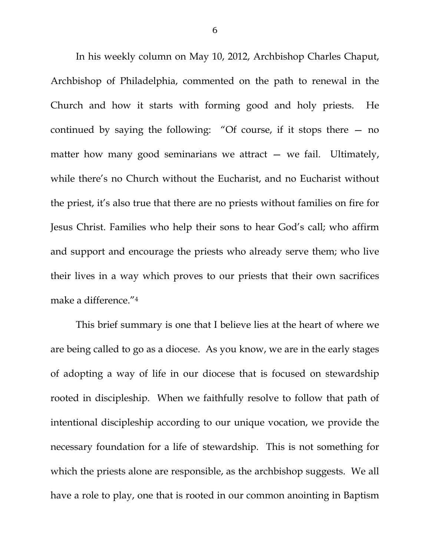In his weekly column on May 10, 2012, Archbishop Charles Chaput, Archbishop of Philadelphia, commented on the path to renewal in the Church and how it starts with forming good and holy priests. He continued by saying the following: "Of course, if it stops there — no matter how many good seminarians we attract  $-$  we fail. Ultimately, while there's no Church without the Eucharist, and no Eucharist without the priest, it's also true that there are no priests without families on fire for Jesus Christ. Families who help their sons to hear God's call; who affirm and support and encourage the priests who already serve them; who live their lives in a way which proves to our priests that their own sacrifices make a difference."4

This brief summary is one that I believe lies at the heart of where we are being called to go as a diocese. As you know, we are in the early stages of adopting a way of life in our diocese that is focused on stewardship rooted in discipleship. When we faithfully resolve to follow that path of intentional discipleship according to our unique vocation, we provide the necessary foundation for a life of stewardship. This is not something for which the priests alone are responsible, as the archbishop suggests. We all have a role to play, one that is rooted in our common anointing in Baptism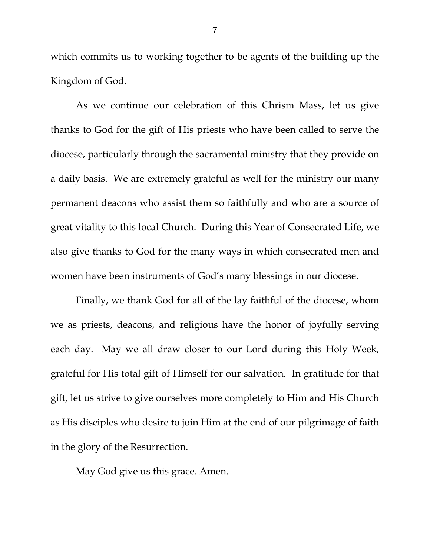which commits us to working together to be agents of the building up the Kingdom of God.

As we continue our celebration of this Chrism Mass, let us give thanks to God for the gift of His priests who have been called to serve the diocese, particularly through the sacramental ministry that they provide on a daily basis. We are extremely grateful as well for the ministry our many permanent deacons who assist them so faithfully and who are a source of great vitality to this local Church. During this Year of Consecrated Life, we also give thanks to God for the many ways in which consecrated men and women have been instruments of God's many blessings in our diocese.

Finally, we thank God for all of the lay faithful of the diocese, whom we as priests, deacons, and religious have the honor of joyfully serving each day. May we all draw closer to our Lord during this Holy Week, grateful for His total gift of Himself for our salvation. In gratitude for that gift, let us strive to give ourselves more completely to Him and His Church as His disciples who desire to join Him at the end of our pilgrimage of faith in the glory of the Resurrection.

May God give us this grace. Amen.